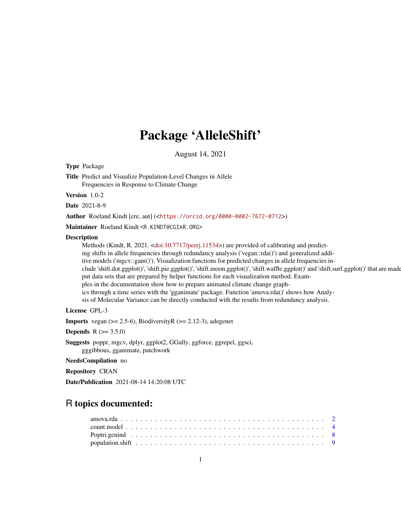# Package 'AlleleShift'

August 14, 2021

<span id="page-0-0"></span>Type Package

Title Predict and Visualize Population-Level Changes in Allele Frequencies in Response to Climate Change

Version 1.0-2

Date 2021-8-9

Author Roeland Kindt [cre, aut] (<<https://orcid.org/0000-0002-7672-0712>>)

Maintainer Roeland Kindt <R.KINDT@CGIAR.ORG>

# Description

Methods (Kindt, R. 2021. [<doi:10.7717/peerj.11534>](https://doi.org/10.7717/peerj.11534)) are provided of calibrating and predicting shifts in allele frequencies through redundancy analysis ('vegan::rda()') and generalized additive models ('mgcv::gam()'). Visualization functions for predicted changes in allele frequencies include 'shift.dot.ggplot()', 'shift.pie.ggplot()', 'shift.moon.ggplot()', 'shift.waffle.ggplot()' and 'shift.surf.ggplot()' that are made put data sets that are prepared by helper functions for each visualization method. Examples in the documentation show how to prepare animated climate change graphics through a time series with the 'gganimate' package. Function 'amova.rda()' shows how Analysis of Molecular Variance can be directly conducted with the results from redundancy analysis.

# License GPL-3

**Imports** vegan  $(>= 2.5-6)$ , BiodiversityR  $(>= 2.12-3)$ , adegenet

**Depends** R  $(>= 3.5.0)$ 

Suggests poppr, mgcv, dplyr, ggplot2, GGally, ggforce, ggrepel, ggsci, gggibbous, gganimate, patchwork

### NeedsCompilation no

Repository CRAN

Date/Publication 2021-08-14 14:20:08 UTC

# R topics documented: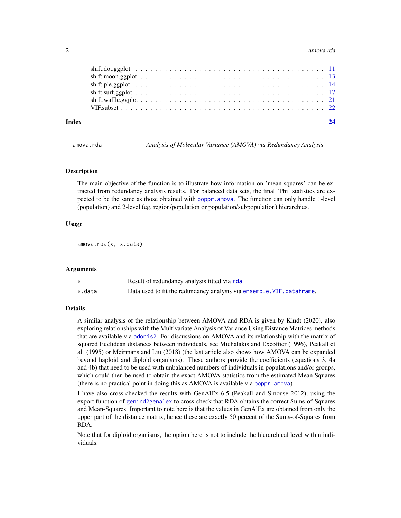#### <span id="page-1-0"></span>2 amova.rda amova.rda amova.rda amova.rda amova.rda amova.rda amova.rda amova.rda amova.rda amova.rda amov

| Index |  |
|-------|--|
|       |  |
|       |  |
|       |  |
|       |  |
|       |  |
|       |  |
|       |  |

<span id="page-1-1"></span>amova.rda *Analysis of Molecular Variance (AMOVA) via Redundancy Analysis*

#### **Description**

The main objective of the function is to illustrate how information on 'mean squares' can be extracted from redundancy analysis results. For balanced data sets, the final 'Phi' statistics are expected to be the same as those obtained with [poppr.amova](#page-0-0). The function can only handle 1-level (population) and 2-level (eg, region/population or population/subpopulation) hierarchies.

#### Usage

amova.rda(x, x.data)

#### Arguments

|        | Result of redundancy analysis fitted via rda.                          |
|--------|------------------------------------------------------------------------|
| x.data | Data used to fit the redundancy analysis via ensemble. VIF. dataframe. |

#### Details

A similar analysis of the relationship between AMOVA and RDA is given by Kindt (2020), also exploring relationships with the Multivariate Analysis of Variance Using Distance Matrices methods that are available via [adonis2](#page-0-0). For discussions on AMOVA and its relationship with the matrix of squared Euclidean distances between individuals, see Michalakis and Excoffier (1996), Peakall et al. (1995) or Meirmans and Liu (2018) (the last article also shows how AMOVA can be expanded beyond haploid and diploid organisms). These authors provide the coefficients (equations 3, 4a and 4b) that need to be used with unbalanced numbers of individuals in populations and/or groups, which could then be used to obtain the exact AMOVA statistics from the estimated Mean Squares (there is no practical point in doing this as AMOVA is available via [poppr.amova](#page-0-0)).

I have also cross-checked the results with GenAlEx 6.5 (Peakall and Smouse 2012), using the export function of [genind2genalex](#page-0-0) to cross-check that RDA obtains the correct Sums-of-Squares and Mean-Squares. Important to note here is that the values in GenAlEx are obtained from only the upper part of the distance matrix, hence these are exactly 50 percent of the Sums-of-Squares from RDA.

Note that for diploid organisms, the option here is not to include the hierarchical level within individuals.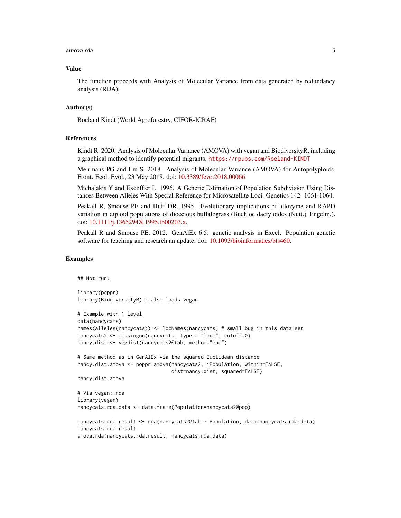#### amova.rda 3

#### Value

The function proceeds with Analysis of Molecular Variance from data generated by redundancy analysis (RDA).

# Author(s)

Roeland Kindt (World Agroforestry, CIFOR-ICRAF)

#### References

Kindt R. 2020. Analysis of Molecular Variance (AMOVA) with vegan and BiodiversityR, including a graphical method to identify potential migrants. <https://rpubs.com/Roeland-KINDT>

Meirmans PG and Liu S. 2018. Analysis of Molecular Variance (AMOVA) for Autopolyploids. Front. Ecol. Evol., 23 May 2018. doi: [10.3389/fevo.2018.00066](https://doi.org/10.3389/fevo.2018.00066)

Michalakis Y and Excoffier L. 1996. A Generic Estimation of Population Subdivision Using Distances Between Alleles With Special Reference for Microsatellite Loci. Genetics 142: 1061-1064.

Peakall R, Smouse PE and Huff DR. 1995. Evolutionary implications of allozyme and RAPD variation in diploid populations of dioecious buffalograss (Buchloe dactyloides (Nutt.) Engelm.). doi: [10.1111/j.1365294X.1995.tb00203.x.](https://doi.org/10.1111/j.1365-294X.1995.tb00203.x)

Peakall R and Smouse PE. 2012. GenAlEx 6.5: genetic analysis in Excel. Population genetic software for teaching and research an update. doi: [10.1093/bioinformatics/bts460.](https://doi.org/10.1093/bioinformatics/bts460)

```
## Not run:
library(poppr)
library(BiodiversityR) # also loads vegan
# Example with 1 level
data(nancycats)
names(alleles(nancycats)) <- locNames(nancycats) # small bug in this data set
nancycats2 <- missingno(nancycats, type = "loci", cutoff=0)
nancy.dist <- vegdist(nancycats2@tab, method="euc")
# Same method as in GenAlEx via the squared Euclidean distance
nancy.dist.amova <- poppr.amova(nancycats2, ~Population, within=FALSE,
                                dist=nancy.dist, squared=FALSE)
nancy.dist.amova
# Via vegan::rda
library(vegan)
nancycats.rda.data <- data.frame(Population=nancycats2@pop)
nancycats.rda.result <- rda(nancycats2@tab ~ Population, data=nancycats.rda.data)
nancycats.rda.result
amova.rda(nancycats.rda.result, nancycats.rda.data)
```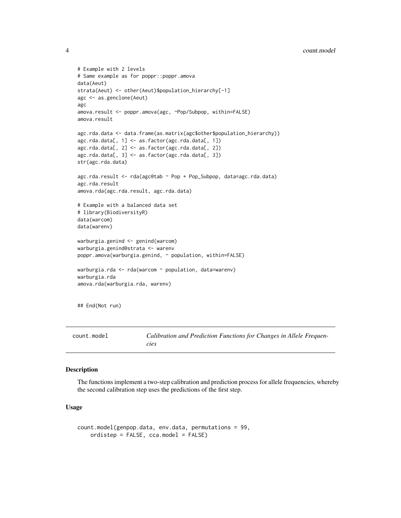#### <span id="page-3-0"></span>4 count.model

```
# Example with 2 levels
# Same example as for poppr::poppr.amova
data(Aeut)
strata(Aeut) <- other(Aeut)$population_hierarchy[-1]
agc <- as.genclone(Aeut)
agc
amova.result <- poppr.amova(agc, ~Pop/Subpop, within=FALSE)
amova.result
agc.rda.data <- data.frame(as.matrix(agc$other$population_hierarchy))
agc.rda.data[, 1] <- as.factor(agc.rda.data[, 1])
agc.rda.data[, 2] <- as.factor(agc.rda.data[, 2])
agc.rda.data[, 3] <- as.factor(agc.rda.data[, 3])
str(agc.rda.data)
agc.rda.result <- rda(agc@tab ~ Pop + Pop_Subpop, data=agc.rda.data)
agc.rda.result
amova.rda(agc.rda.result, agc.rda.data)
# Example with a balanced data set
# library(BiodiversityR)
data(warcom)
data(warenv)
warburgia.genind <- genind(warcom)
warburgia.genind@strata <- warenv
poppr.amova(warburgia.genind, ~ population, within=FALSE)
warburgia.rda <- rda(warcom ~ population, data=warenv)
warburgia.rda
amova.rda(warburgia.rda, warenv)
```

```
## End(Not run)
```

| count.model | Calibration and Prediction Functions for Changes in Allele Frequen- |
|-------------|---------------------------------------------------------------------|
|             | cıes                                                                |

## Description

The functions implement a two-step calibration and prediction process for allele frequencies, whereby the second calibration step uses the predictions of the first step.

# Usage

```
count.model(genpop.data, env.data, permutations = 99,
   ordistep = FALSE, cca.model = FALSE)
```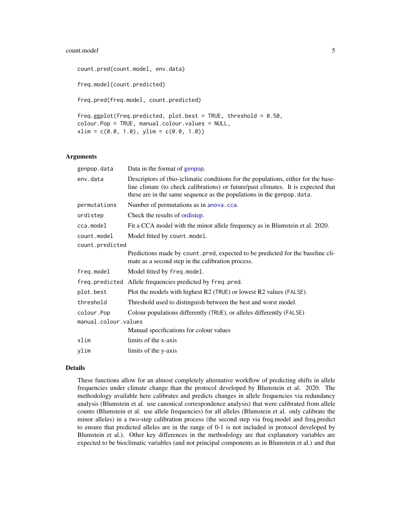#### <span id="page-4-0"></span>count.model 55

```
count.pred(count.model, env.data)
freq.model(count.predicted)
freq.pred(freq.model, count.predicted)
freq.ggplot(freq.predicted, plot.best = TRUE, threshold = 0.50,
colour.Pop = TRUE, manual.colour.values = NULL,
xlim = c(0.0, 1.0), ylim = c(0.0, 1.0))
```
# Arguments

| genpop.data          | Data in the format of genpop.                                                                                                                                                                                                                     |
|----------------------|---------------------------------------------------------------------------------------------------------------------------------------------------------------------------------------------------------------------------------------------------|
| env.data             | Descriptors of (bio-)climatic conditions for the populations, either for the base-<br>line climate (to check calibrations) or future/past climates. It is expected that<br>these are in the same sequence as the populations in the genpop. data. |
| permutations         | Number of permutations as in anova.cca.                                                                                                                                                                                                           |
| ordistep             | Check the results of ordistep.                                                                                                                                                                                                                    |
| cca.model            | Fit a CCA model with the minor allele frequency as in Blumstein et al. 2020.                                                                                                                                                                      |
| count.model          | Model fitted by count.model.                                                                                                                                                                                                                      |
| count.predicted      |                                                                                                                                                                                                                                                   |
|                      | Predictions made by count pred, expected to be predicted for the baseline cli-<br>mate as a second step in the calibration process.                                                                                                               |
| freq.model           | Model fitted by freq.model.                                                                                                                                                                                                                       |
|                      | freq.predicted Allele frequencies predicted by freq.pred.                                                                                                                                                                                         |
| plot.best            | Plot the models with highest R2 (TRUE) or lowest R2 values (FALSE).                                                                                                                                                                               |
| threshold            | Threshold used to distinguish between the best and worst model.                                                                                                                                                                                   |
| colour.Pop           | Colour populations differently (TRUE), or alleles differently (FALSE)                                                                                                                                                                             |
| manual.colour.values |                                                                                                                                                                                                                                                   |
|                      | Manual specifications for colour values                                                                                                                                                                                                           |
| xlim                 | limits of the x-axis                                                                                                                                                                                                                              |
| ylim                 | limits of the y-axis                                                                                                                                                                                                                              |

# Details

These functions allow for an almost completely alternative workflow of predicting shifts in allele frequencies under climate change than the protocol developed by Blumstein et al. 2020. The methodology available here calibrates and predicts changes in allele frequencies via redundancy analysis (Blumstein et al. use canonical correspondence analysis) that were calibrated from allele counts (Blumstein et al. use allele frequencies) for all alleles (Blumstein et al. only calibrate the minor alleles) in a two-step calibration process (the second step via freq.model and freq.predict to ensure that predicted alleles are in the range of 0-1 is not included in protocol developed by Blumstein et al.). Other key differences in the methodology are that explanatory variables are expected to be bioclimatic variables (and not principal components as in Blumstein et al.) and that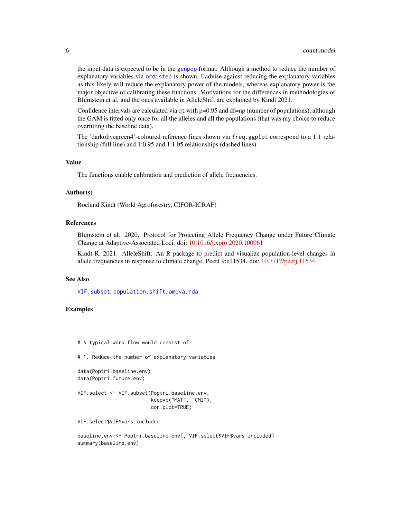<span id="page-5-0"></span>the input data is expected to be in the [genpop](#page-0-0) format. Although a method to reduce the number of explanatory variables via [ordistep](#page-0-0) is shown, I advise against reducing the explanatory variables as this likely will reduce the explanatory power of the models, whereas explanatory power is the major objective of calibrating these functions. Motivations for the differences in methodologies of Blumstein et al. and the ones available in AlleleShift are explained by Kindt 2021.

Confidence intervals are calculated via  $qt$  with  $p=0.95$  and  $df=np$  (number of populations), although the GAM is fitted only once for all the alleles and all the populations (that was my choice to reduce overfitting the baseline data).

The 'darkolivegreen4'-coloured reference lines shown via freq.ggplot correspond to a 1:1 relationship (full line) and 1:0.95 and 1:1.05 relationships (dashed lines).

#### Value

The functions enable calibration and prediction of allele frequencies.

#### Author(s)

Roeland Kindt (World Agroforestry, CIFOR-ICRAF)

# References

Blumstein et al. 2020. Protocol for Projecting Allele Frequency Change under Future Climate Change at Adaptive-Associated Loci. doi: [10.1016/j.xpro.2020.100061](https://doi.org/10.1016/j.xpro.2020.100061)

Kindt R. 2021. AlleleShift: An R package to predict and visualize population-level changes in allele frequencies in response to climate change. PeerJ 9:e11534. doi: [10.7717/peerj.11534](https://doi.org/10.7717/peerj.11534)

#### See Also

[VIF.subset](#page-21-1), [population.shift](#page-8-1), [amova.rda](#page-1-1)

# Examples

```
# A typical work flow would consist of:
```
# 1. Reduce the number of explanatory variables

```
data(Poptri.baseline.env)
data(Poptri.future.env)
```

```
VIF.select <- VIF.subset(Poptri.baseline.env,
                         keep=c("MAT", "CMI"),
                         cor.plot=TRUE)
```
VIF.select\$VIF\$vars.included

baseline.env <- Poptri.baseline.env[, VIF.select\$VIF\$vars.included] summary(baseline.env)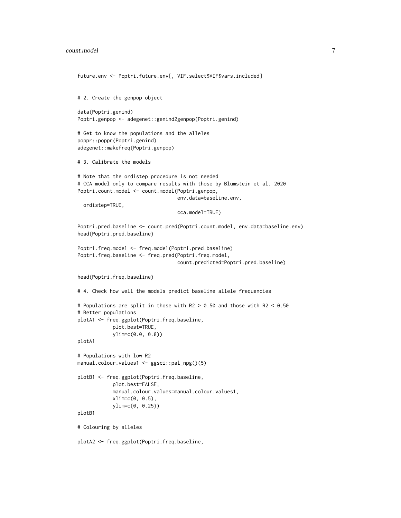#### count.model 7 and 7 and 7 and 7 and 7 and 7 and 7 and 7 and 7 and 7 and 7 and 7 and 7 and 7 and 7 and 7 and 7 and 7 and 7 and 7 and 7 and 7 and 7 and 7 and 7 and 7 and 7 and 7 and 7 and 7 and 7 and 7 and 7 and 7 and 7 and

```
future.env <- Poptri.future.env[, VIF.select$VIF$vars.included]
# 2. Create the genpop object
data(Poptri.genind)
Poptri.genpop <- adegenet::genind2genpop(Poptri.genind)
# Get to know the populations and the alleles
poppr::poppr(Poptri.genind)
adegenet::makefreq(Poptri.genpop)
# 3. Calibrate the models
# Note that the ordistep procedure is not needed
# CCA model only to compare results with those by Blumstein et al. 2020
Poptri.count.model <- count.model(Poptri.genpop,
                                  env.data=baseline.env,
 ordistep=TRUE,
                                  cca.model=TRUE)
Poptri.pred.baseline <- count.pred(Poptri.count.model, env.data=baseline.env)
head(Poptri.pred.baseline)
Poptri.freq.model <- freq.model(Poptri.pred.baseline)
Poptri.freq.baseline <- freq.pred(Poptri.freq.model,
                                  count.predicted=Poptri.pred.baseline)
head(Poptri.freq.baseline)
# 4. Check how well the models predict baseline allele frequencies
# Populations are split in those with R2 > 0.50 and those with R2 < 0.50
# Better populations
plotA1 <- freq.ggplot(Poptri.freq.baseline,
            plot.best=TRUE,
            ylim=c(0.0, 0.8))
plotA1
# Populations with low R2
manual.colour.values1 <- ggsci::pal_npg()(5)
plotB1 <- freq.ggplot(Poptri.freq.baseline,
            plot.best=FALSE,
            manual.colour.values=manual.colour.values1,
            xlim=c(0, 0.5),
            ylim=c(0, 0.25))
plotB1
# Colouring by alleles
plotA2 <- freq.ggplot(Poptri.freq.baseline,
```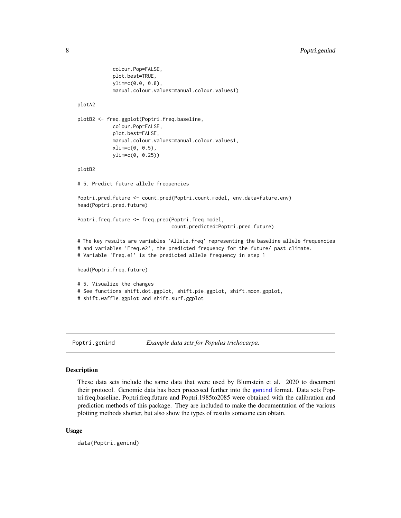```
colour.Pop=FALSE,
plot.best=TRUE,
ylim=c(0.0, 0.8),
manual.colour.values=manual.colour.values1)
```
# plotA2

```
plotB2 <- freq.ggplot(Poptri.freq.baseline,
            colour.Pop=FALSE,
            plot.best=FALSE,
            manual.colour.values=manual.colour.values1,
            xlim=c(0, 0.5),
            ylim=c(0, 0.25))
```
plotB2

# 5. Predict future allele frequencies

Poptri.pred.future <- count.pred(Poptri.count.model, env.data=future.env) head(Poptri.pred.future)

Poptri.freq.future <- freq.pred(Poptri.freq.model, count.predicted=Poptri.pred.future)

# The key results are variables 'Allele.freq' representing the baseline allele frequencies # and variables 'Freq.e2', the predicted frequency for the future/ past climate. # Variable 'Freq.e1' is the predicted allele frequency in step 1

head(Poptri.freq.future)

```
# 5. Visualize the changes
# See functions shift.dot.ggplot, shift.pie.ggplot, shift.moon.gpplot,
# shift.waffle.ggplot and shift.surf.ggplot
```
Poptri.genind *Example data sets for Populus trichocarpa.*

# Description

These data sets include the same data that were used by Blumstein et al. 2020 to document their protocol. Genomic data has been processed further into the [genind](#page-0-0) format. Data sets Poptri.freq.baseline, Poptri.freq.future and Poptri.1985to2085 were obtained with the calibration and prediction methods of this package. They are included to make the documentation of the various plotting methods shorter, but also show the types of results someone can obtain.

#### Usage

data(Poptri.genind)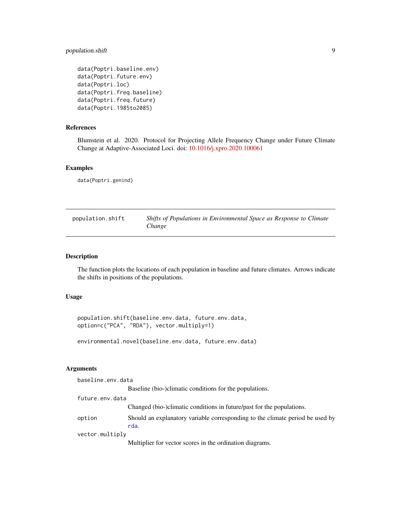# <span id="page-8-0"></span>population.shift 9

```
data(Poptri.baseline.env)
data(Poptri.future.env)
data(Poptri.loc)
data(Poptri.freq.baseline)
data(Poptri.freq.future)
data(Poptri.1985to2085)
```
# References

Blumstein et al. 2020. Protocol for Projecting Allele Frequency Change under Future Climate Change at Adaptive-Associated Loci. doi: [10.1016/j.xpro.2020.100061](https://doi.org/10.1016/j.xpro.2020.100061)

# Examples

data(Poptri.genind)

<span id="page-8-1"></span>

| population.shift | Shifts of Populations in Environmental Space as Response to Climate |
|------------------|---------------------------------------------------------------------|
|                  | Change                                                              |

# Description

The function plots the locations of each population in baseline and future climates. Arrows indicate the shifts in positions of the populations.

# Usage

```
population.shift(baseline.env.data, future.env.data,
option=c("PCA", "RDA"), vector.multiply=1)
```
environmental.novel(baseline.env.data, future.env.data)

### Arguments

| baseline.env.data |                                                                                       |
|-------------------|---------------------------------------------------------------------------------------|
|                   | Baseline (bio-)climatic conditions for the populations.                               |
| future.env.data   |                                                                                       |
|                   | Changed (bio-)climatic conditions in future/past for the populations.                 |
| option            | Should an explanatory variable corresponding to the climate period be used by<br>rda. |
| vector.multiply   |                                                                                       |
|                   | Multiplier for vector scores in the ordination diagrams.                              |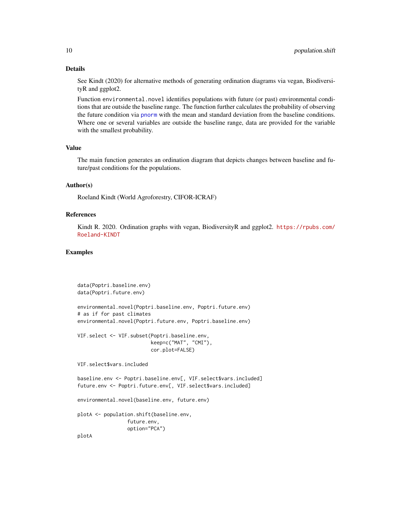# <span id="page-9-0"></span>Details

See Kindt (2020) for alternative methods of generating ordination diagrams via vegan, BiodiversityR and ggplot2.

Function environmental.novel identifies populations with future (or past) environmental conditions that are outside the baseline range. The function further calculates the probability of observing the future condition via [pnorm](#page-0-0) with the mean and standard deviation from the baseline conditions. Where one or several variables are outside the baseline range, data are provided for the variable with the smallest probability.

# Value

The main function generates an ordination diagram that depicts changes between baseline and future/past conditions for the populations.

# Author(s)

Roeland Kindt (World Agroforestry, CIFOR-ICRAF)

# References

Kindt R. 2020. Ordination graphs with vegan, BiodiversityR and ggplot2. [https://rpubs.com/](https://rpubs.com/Roeland-KINDT) [Roeland-KINDT](https://rpubs.com/Roeland-KINDT)

```
data(Poptri.baseline.env)
data(Poptri.future.env)
environmental.novel(Poptri.baseline.env, Poptri.future.env)
# as if for past climates
environmental.novel(Poptri.future.env, Poptri.baseline.env)
VIF.select <- VIF.subset(Poptri.baseline.env,
                        keep=c("MAT", "CMI"),
                         cor.plot=FALSE)
VIF.select$vars.included
baseline.env <- Poptri.baseline.env[, VIF.select$vars.included]
future.env <- Poptri.future.env[, VIF.select$vars.included]
environmental.novel(baseline.env, future.env)
plotA <- population.shift(baseline.env,
                 future.env,
                 option="PCA")
plotA
```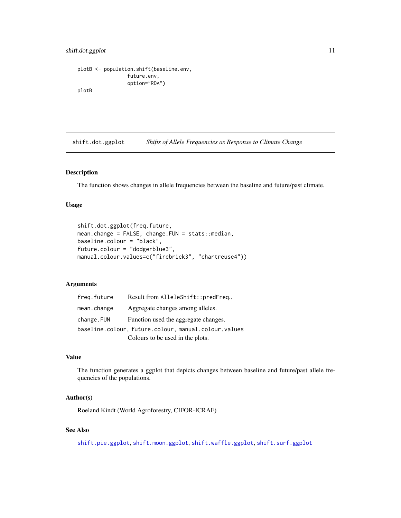# <span id="page-10-0"></span>shift.dot.ggplot 11

```
plotB <- population.shift(baseline.env,
                 future.env,
                 option="RDA")
plotB
```
<span id="page-10-1"></span>shift.dot.ggplot *Shifts of Allele Frequencies as Response to Climate Change*

# Description

The function shows changes in allele frequencies between the baseline and future/past climate.

# Usage

```
shift.dot.ggplot(freq.future,
mean.change = FALSE, change.FUN = stats::median,
baseline.colour = "black",
future.colour = "dodgerblue3",
manual.colour.values=c("firebrick3", "chartreuse4"))
```
# Arguments

| freg.future | Result from AlleleShift::predFreq                    |
|-------------|------------------------------------------------------|
| mean.change | Aggregate changes among alleles.                     |
| change.FUN  | Function used the aggregate changes.                 |
|             | baseline.colour, future.colour, manual.colour.values |
|             | Colours to be used in the plots.                     |

# Value

The function generates a ggplot that depicts changes between baseline and future/past allele frequencies of the populations.

# Author(s)

Roeland Kindt (World Agroforestry, CIFOR-ICRAF)

# See Also

[shift.pie.ggplot](#page-13-1), [shift.moon.ggplot](#page-12-1), [shift.waffle.ggplot](#page-20-1), [shift.surf.ggplot](#page-16-1)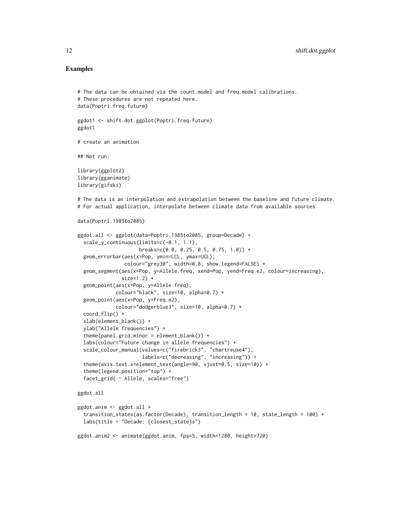```
# The data can be obtained via the count.model and freq.model calibrations.
# These procedures are not repeated here.
data(Poptri.freq.future)
ggdot1 <- shift.dot.ggplot(Poptri.freq.future)
ggdot1
# create an animation
## Not run:
library(ggplot2)
library(gganimate)
library(gifski)
# The data is an interpolation and extrapolation between the baseline and future climate.
# For actual application, interpolate between climate data from available sources
data(Poptri.1985to2085)
ggdot.all <- ggplot(data=Poptri.1985to2085, group=Decade) +
  scale_y_continuous(limits=c(-0.1, 1.1),
                     breaks=c(0.0, 0.25, 0.5, 0.75, 1.0)) +
  geom_errorbar(aes(x=Pop, ymin=LCL, ymax=UCL),
                colour="grey30", width=0.8, show.legend=FALSE) +
  geom_segment(aes(x=Pop, y=Allele.freq, xend=Pop, yend=Freq.e2, colour=increasing),
               size=1.2) +
  geom_point(aes(x=Pop, y=Allele.freq),
             colour="black", size=10, alpha=0.7) +
  geom_point(aes(x=Pop, y=Freq.e2),
             colour="dodgerblue3", size=10, alpha=0.7) +
  coord_flip() +
  xlab(element_blank()) +
  ylab("Allele frequencies") +
  theme(panel.grid.minor = element_blank()) +
  labs(colour="Future change in allele frequencies") +
  scale_colour_manual(values=c("firebrick3", "chartreuse4"),
                      labels=c("decreasing", "increasing")) +
  theme(axis.text.x=element_text(angle=90, vjust=0.5, size=10)) +
  theme(legend.position="top") +
  facet_grid( ~ Allele, scales="free")
ggdot.all
ggdot.anim <- ggdot.all +
  transition_states(as.factor(Decade), transition_length = 10, state_length = 100) +
  labs(title = "Decade: {closest_state}s")
ggdot.anim2 <- animate(ggdot.anim, fps=5, width=1280, height=720)
```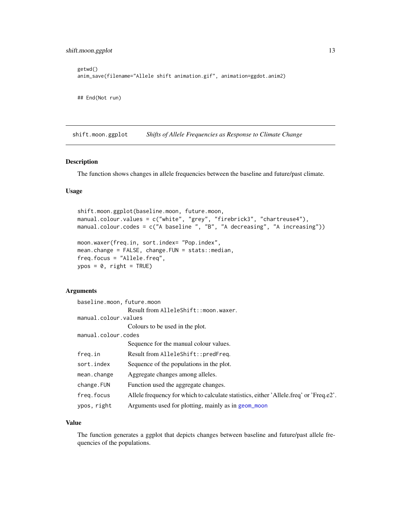## End(Not run)

```
getwd()
anim_save(filename="Allele shift animation.gif", animation=ggdot.anim2)
```
<span id="page-12-1"></span>shift.moon.ggplot *Shifts of Allele Frequencies as Response to Climate Change*

# Description

The function shows changes in allele frequencies between the baseline and future/past climate.

# Usage

```
shift.moon.ggplot(baseline.moon, future.moon,
manual.colour.values = c("white", "grey", "firebrick3", "chartreuse4"),
manual.colour.codes = c("A baseline ", "B", "A decreasing", "A increasing"))
moon.waxer(freq.in, sort.index= "Pop.index",
mean.change = FALSE, change.FUN = stats::median,
freq.focus = "Allele.freq",
```

```
ypos = 0, right = TRUE)
```
# Arguments

| baseline.moon, future.moon |                                                                                        |
|----------------------------|----------------------------------------------------------------------------------------|
|                            | Result from AlleleShift::moon.waxer.                                                   |
| manual.colour.values       |                                                                                        |
|                            | Colours to be used in the plot.                                                        |
| manual.colour.codes        |                                                                                        |
|                            | Sequence for the manual colour values.                                                 |
| freq.in                    | Result from AlleleShift::predFreq.                                                     |
| sort.index                 | Sequence of the populations in the plot.                                               |
| mean.change                | Aggregate changes among alleles.                                                       |
| change.FUN                 | Function used the aggregate changes.                                                   |
| freg.focus                 | Allele frequency for which to calculate statistics, either 'Allele freq' or 'Freq.e2'. |
| ypos, right                | Arguments used for plotting, mainly as in geom_moon                                    |

# Value

The function generates a ggplot that depicts changes between baseline and future/past allele frequencies of the populations.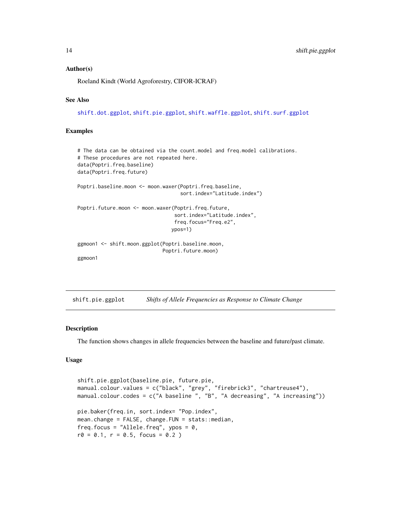# Author(s)

Roeland Kindt (World Agroforestry, CIFOR-ICRAF)

# See Also

[shift.dot.ggplot](#page-10-1), [shift.pie.ggplot](#page-13-1), [shift.waffle.ggplot](#page-20-1), [shift.surf.ggplot](#page-16-1)

# Examples

```
# The data can be obtained via the count.model and freq.model calibrations.
# These procedures are not repeated here.
data(Poptri.freq.baseline)
data(Poptri.freq.future)
Poptri.baseline.moon <- moon.waxer(Poptri.freq.baseline,
                                   sort.index="Latitude.index")
Poptri.future.moon <- moon.waxer(Poptri.freq.future,
                                 sort.index="Latitude.index",
                                 freq.focus="Freq.e2",
                                ypos=1)
ggmoon1 <- shift.moon.ggplot(Poptri.baseline.moon,
                             Poptri.future.moon)
ggmoon1
```
<span id="page-13-1"></span>shift.pie.ggplot *Shifts of Allele Frequencies as Response to Climate Change*

#### Description

The function shows changes in allele frequencies between the baseline and future/past climate.

# Usage

```
shift.pie.ggplot(baseline.pie, future.pie,
manual.colour.values = c("black", "grey", "firebrick3", "chartreuse4"),
manual.colour.codes = c("A baseline ", "B", "A decreasing", "A increasing"))
pie.baker(freq.in, sort.index= "Pop.index",
mean.change = FALSE, change.FUN = stats::median,
freq.focus = "Allele.freq", ypos = 0,
r0 = 0.1, r = 0.5, focus = 0.2)
```
<span id="page-13-0"></span>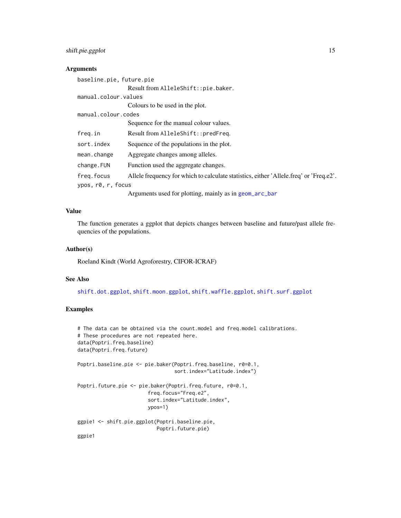# <span id="page-14-0"></span>shift.pie.ggplot 15

# Arguments

| baseline.pie, future.pie |                                                                                        |
|--------------------------|----------------------------------------------------------------------------------------|
|                          | Result from AlleleShift::pie.baker.                                                    |
| manual.colour.values     |                                                                                        |
|                          | Colours to be used in the plot.                                                        |
| manual.colour.codes      |                                                                                        |
|                          | Sequence for the manual colour values.                                                 |
| freq.in                  | Result from AlleleShift::predFreq.                                                     |
| sort.index               | Sequence of the populations in the plot.                                               |
| mean.change              | Aggregate changes among alleles.                                                       |
| change.FUN               | Function used the aggregate changes.                                                   |
| freq.focus               | Allele frequency for which to calculate statistics, either 'Allele.freq' or 'Freq.e2'. |
| ypos, r0, r, focus       |                                                                                        |
|                          | Arguments used for plotting, mainly as in geom_arc_bar                                 |

# Value

The function generates a ggplot that depicts changes between baseline and future/past allele frequencies of the populations.

# Author(s)

Roeland Kindt (World Agroforestry, CIFOR-ICRAF)

# See Also

[shift.dot.ggplot](#page-10-1), [shift.moon.ggplot](#page-12-1), [shift.waffle.ggplot](#page-20-1), [shift.surf.ggplot](#page-16-1)

```
# The data can be obtained via the count.model and freq.model calibrations.
# These procedures are not repeated here.
data(Poptri.freq.baseline)
data(Poptri.freq.future)
Poptri.baseline.pie <- pie.baker(Poptri.freq.baseline, r0=0.1,
                                 sort.index="Latitude.index")
Poptri.future.pie <- pie.baker(Poptri.freq.future, r0=0.1,
                        freq.focus="Freq.e2",
                        sort.index="Latitude.index",
                        ypos=1)
ggpie1 <- shift.pie.ggplot(Poptri.baseline.pie,
                          Poptri.future.pie)
ggpie1
```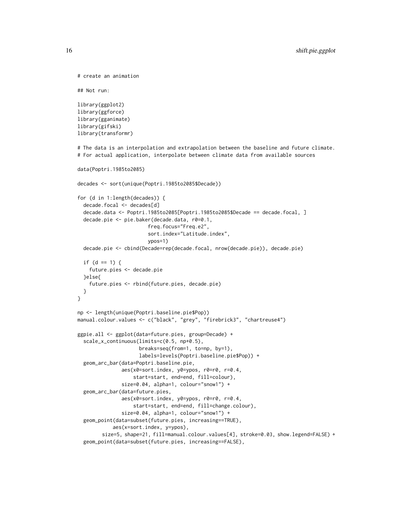```
# create an animation
## Not run:
library(ggplot2)
library(ggforce)
library(gganimate)
library(gifski)
library(transformr)
# The data is an interpolation and extrapolation between the baseline and future climate.
# For actual application, interpolate between climate data from available sources
data(Poptri.1985to2085)
decades <- sort(unique(Poptri.1985to2085$Decade))
for (d in 1:length(decades)) {
  decade.focal <- decades[d]
  decade.data <- Poptri.1985to2085[Poptri.1985to2085$Decade == decade.focal, ]
  decade.pie <- pie.baker(decade.data, r0=0.1,
                        freq.focus="Freq.e2",
                        sort.index="Latitude.index",
                        ypos=1)
  decade.pie <- cbind(Decade=rep(decade.focal, nrow(decade.pie)), decade.pie)
  if (d == 1) {
   future.pies <- decade.pie
  }else{
    future.pies <- rbind(future.pies, decade.pie)
  }
}
np <- length(unique(Poptri.baseline.pie$Pop))
manual.colour.values <- c("black", "grey", "firebrick3", "chartreuse4")
ggpie.all <- ggplot(data=future.pies, group=Decade) +
  scale_x_continuous(limits=c(0.5, np+0.5),
                     breaks=seq(from=1, to=np, by=1),
                     labels=levels(Poptri.baseline.pie$Pop)) +
  geom_arc_bar(data=Poptri.baseline.pie,
               aes(x0=sort.index, y0=ypos, r0=r0, r=0.4,
                   start=start, end=end, fill=colour),
               size=0.04, alpha=1, colour="snow1") +
  geom_arc_bar(data=future.pies,
               aes(x0=sort.index, y0=ypos, r0=r0, r=0.4,
                   start=start, end=end, fill=change.colour),
               size=0.04, alpha=1, colour="snow1") +
  geom_point(data=subset(future.pies, increasing==TRUE),
            aes(x=sort.index, y=ypos),
        size=5, shape=21, fill=manual.colour.values[4], stroke=0.03, show.legend=FALSE) +
  geom_point(data=subset(future.pies, increasing==FALSE),
```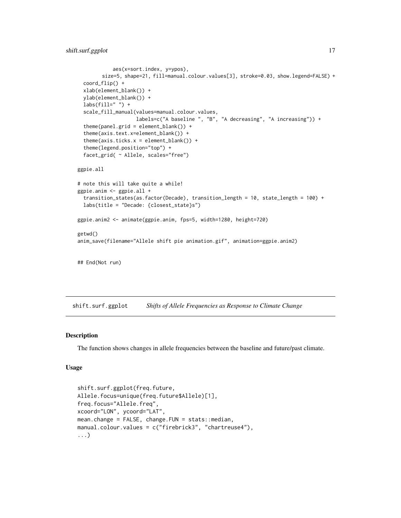```
aes(x=sort.index, y=ypos),
        size=5, shape=21, fill=manual.colour.values[3], stroke=0.03, show.legend=FALSE) +
 coord_flip() +
 xlab(element_blank()) +
 ylab(element_blank()) +
 \text{labs}(\text{fill}=" \text{ "}) +scale_fill_manual(values=manual.colour.values,
                    labels=c("A baseline ", "B", "A decreasing", "A increasing")) +
 theme(panel.grid = element_blank()) +
 theme(axis.text.x=element_blank()) +
 theme(axis.ticks.x = element_blank()) +
 theme(legend.position="top") +
  facet_grid( ~ Allele, scales="free")
ggpie.all
# note this will take quite a while!
ggpie.anim <- ggpie.all +
 transition_states(as.factor(Decade), transition_length = 10, state_length = 100) +
 labs(title = "Decade: {closest_state}s")
ggpie.anim2 <- animate(ggpie.anim, fps=5, width=1280, height=720)
getwd()
anim_save(filename="Allele shift pie animation.gif", animation=ggpie.anim2)
## End(Not run)
```
<span id="page-16-1"></span>shift.surf.ggplot *Shifts of Allele Frequencies as Response to Climate Change*

# Description

The function shows changes in allele frequencies between the baseline and future/past climate.

# Usage

```
shift.surf.ggplot(freq.future,
Allele.focus=unique(freq.future$Allele)[1],
freq.focus="Allele.freq",
xcoord="LON", ycoord="LAT",
mean.change = FALSE, change.FUN = stats::median,
manual.colour.values = c("firebrick3", "chartreuse4"),
...)
```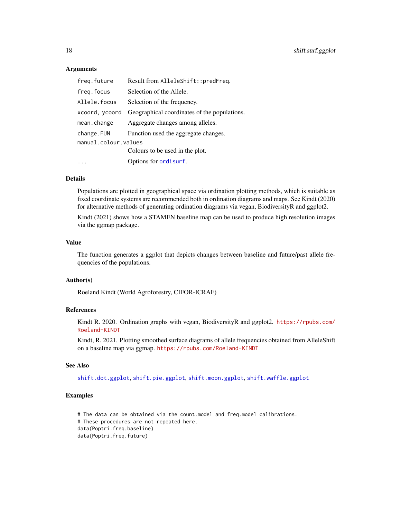# Arguments

| freq.future          | Result from AlleleShift::predFreq.           |
|----------------------|----------------------------------------------|
| freq.focus           | Selection of the Allele.                     |
| Allele.focus         | Selection of the frequency.                  |
| xcoord, ycoord       | Geographical coordinates of the populations. |
| mean.change          | Aggregate changes among alleles.             |
| change.FUN           | Function used the aggregate changes.         |
| manual.colour.values |                                              |
|                      | Colours to be used in the plot.              |
|                      | Options for ordisurf.                        |

# Details

Populations are plotted in geographical space via ordination plotting methods, which is suitable as fixed coordinate systems are recommended both in ordination diagrams and maps. See Kindt (2020) for alternative methods of generating ordination diagrams via vegan, BiodiversityR and ggplot2.

Kindt (2021) shows how a STAMEN baseline map can be used to produce high resolution images via the ggmap package.

# Value

The function generates a ggplot that depicts changes between baseline and future/past allele frequencies of the populations.

# Author(s)

Roeland Kindt (World Agroforestry, CIFOR-ICRAF)

# References

Kindt R. 2020. Ordination graphs with vegan, BiodiversityR and ggplot2. [https://rpubs.com/](https://rpubs.com/Roeland-KINDT) [Roeland-KINDT](https://rpubs.com/Roeland-KINDT)

Kindt, R. 2021. Plotting smoothed surface diagrams of allele frequencies obtained from AlleleShift on a baseline map via ggmap. <https://rpubs.com/Roeland-KINDT>

# See Also

[shift.dot.ggplot](#page-10-1), [shift.pie.ggplot](#page-13-1), [shift.moon.ggplot](#page-12-1), [shift.waffle.ggplot](#page-20-1)

```
# The data can be obtained via the count.model and freq.model calibrations.
# These procedures are not repeated here.
data(Poptri.freq.baseline)
data(Poptri.freq.future)
```
<span id="page-17-0"></span>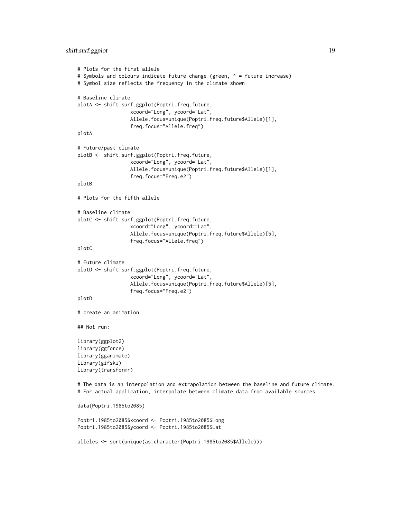```
# Plots for the first allele
# Symbols and colours indicate future change (green, \wedge = future increase)
# Symbol size reflects the frequency in the climate shown
# Baseline climate
plotA <- shift.surf.ggplot(Poptri.freq.future,
                  xcoord="Long", ycoord="Lat",
                  Allele.focus=unique(Poptri.freq.future$Allele)[1],
                  freq.focus="Allele.freq")
plotA
# Future/past climate
plotB <- shift.surf.ggplot(Poptri.freq.future,
                  xcoord="Long", ycoord="Lat",
                  Allele.focus=unique(Poptri.freq.future$Allele)[1],
                  freq.focus="Freq.e2")
plotB
# Plots for the fifth allele
# Baseline climate
plotC <- shift.surf.ggplot(Poptri.freq.future,
                  xcoord="Long", ycoord="Lat",
                  Allele.focus=unique(Poptri.freq.future$Allele)[5],
                  freq.focus="Allele.freq")
plotC
# Future climate
plotD <- shift.surf.ggplot(Poptri.freq.future,
                  xcoord="Long", ycoord="Lat",
                  Allele.focus=unique(Poptri.freq.future$Allele)[5],
                  freq.focus="Freq.e2")
plotD
# create an animation
## Not run:
library(ggplot2)
library(ggforce)
library(gganimate)
library(gifski)
library(transformr)
# The data is an interpolation and extrapolation between the baseline and future climate.
# For actual application, interpolate between climate data from available sources
data(Poptri.1985to2085)
Poptri.1985to2085$xcoord <- Poptri.1985to2085$Long
Poptri.1985to2085$ycoord <- Poptri.1985to2085$Lat
alleles <- sort(unique(as.character(Poptri.1985to2085$Allele)))
```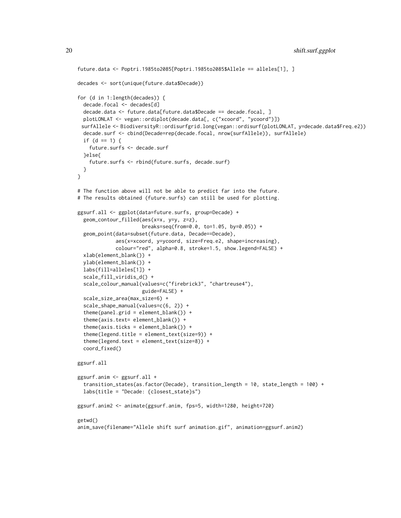```
future.data <- Poptri.1985to2085[Poptri.1985to2085$Allele == alleles[1], ]
decades <- sort(unique(future.data$Decade))
for (d in 1:length(decades)) {
 decade.focal <- decades[d]
 decade.data <- future.data[future.data$Decade == decade.focal, ]
 plotLONLAT <- vegan::ordiplot(decade.data[, c("xcoord", "ycoord")])
 surfAllele <- BiodiversityR::ordisurfgrid.long(vegan::ordisurf(plotLONLAT, y=decade.data$Freq.e2))
 decade.surf <- cbind(Decade=rep(decade.focal, nrow(surfAllele)), surfAllele)
 if (d == 1) {
    future.surfs <- decade.surf
  }else{
    future.surfs <- rbind(future.surfs, decade.surf)
 }
}
# The function above will not be able to predict far into the future.
# The results obtained (future.surfs) can still be used for plotting.
ggsurf.all <- ggplot(data=future.surfs, group=Decade) +
 geom_contour_filled(aes(x=x, y=y, z=z),
                      breaks=seq(from=0.0, to=1.05, by=0.05)) +
 geom_point(data=subset(future.data, Decade==Decade),
             aes(x=xcoord, y=ycoord, size=Freq.e2, shape=increasing),
             colour="red", alpha=0.8, stroke=1.5, show.legend=FALSE) +
 xlab(element_blank()) +
 ylab(element_blank()) +
 labs(fill=alleles[1]) +
 scale_fill_viridis_d() +
 scale_colour_manual(values=c("firebrick3", "chartreuse4"),
                      guide=FALSE) +
  scale_size_area(max_size=6) +
 scale_shape_manual(values=c(6, 2)) +
 theme(panel.grid = element_blank()) +
  theme(axis.text= element_blank()) +
  theme(axis.ticks = element_blank()) +
  theme(legend.title = element_text(size=9)) +
  theme(legend.text = element_text(size=8)) +
 coord_fixed()
ggsurf.all
ggsurf.anim <- ggsurf.all +
 transition_states(as.factor(Decade), transition_length = 10, state_length = 100) +
 labs(title = "Decade: {closest_state}s")
ggsurf.anim2 <- animate(ggsurf.anim, fps=5, width=1280, height=720)
getwd()
anim_save(filename="Allele shift surf animation.gif", animation=ggsurf.anim2)
```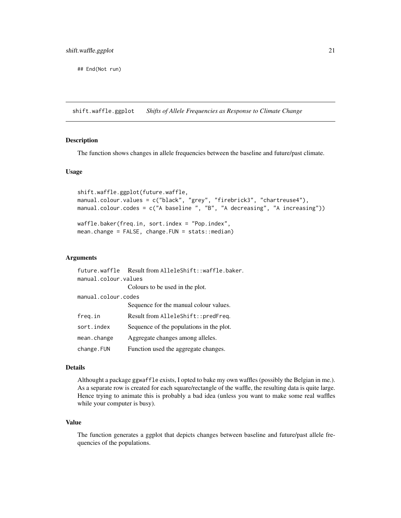<span id="page-20-0"></span>## End(Not run)

<span id="page-20-1"></span>shift.waffle.ggplot *Shifts of Allele Frequencies as Response to Climate Change*

# Description

The function shows changes in allele frequencies between the baseline and future/past climate.

# Usage

```
shift.waffle.ggplot(future.waffle,
manual.colour.values = c("black", "grey", "firebrick3", "chartreuse4"),
manual.colour.codes = c("A baseline ", "B", "A decreasing", "A increasing"))
waffle.baker(freq.in, sort.index = "Pop.index",
mean.change = FALSE, change.FUN = stats::median)
```
# Arguments

```
future.waffle Result from AlleleShift::waffle.baker.
manual.colour.values
                Colours to be used in the plot.
manual.colour.codes
                Sequence for the manual colour values.
freq.in Result from AlleleShift::predFreq.
sort. index Sequence of the populations in the plot.
mean.change Aggregate changes among alleles.
change.FUN Function used the aggregate changes.
```
#### Details

Althought a package ggwaffle exists, I opted to bake my own waffles (possibly the Belgian in me.). As a separate row is created for each square/rectangle of the waffle, the resulting data is quite large. Hence trying to animate this is probably a bad idea (unless you want to make some real waffles while your computer is busy).

# Value

The function generates a ggplot that depicts changes between baseline and future/past allele frequencies of the populations.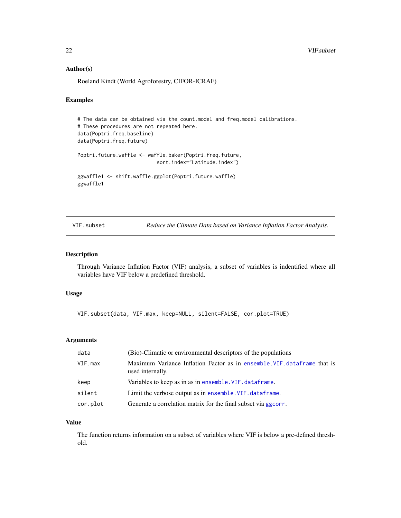# <span id="page-21-0"></span>Author(s)

Roeland Kindt (World Agroforestry, CIFOR-ICRAF)

# Examples

```
# The data can be obtained via the count.model and freq.model calibrations.
# These procedures are not repeated here.
data(Poptri.freq.baseline)
data(Poptri.freq.future)
Poptri.future.waffle <- waffle.baker(Poptri.freq.future,
                           sort.index="Latitude.index")
ggwaffle1 <- shift.waffle.ggplot(Poptri.future.waffle)
ggwaffle1
```
<span id="page-21-1"></span>VIF.subset *Reduce the Climate Data based on Variance Inflation Factor Analysis.*

# Description

Through Variance Inflation Factor (VIF) analysis, a subset of variables is indentified where all variables have VIF below a predefined threshold.

#### Usage

VIF.subset(data, VIF.max, keep=NULL, silent=FALSE, cor.plot=TRUE)

#### Arguments

| data     | (Bio)-Climatic or environmental descriptors of the populations                               |
|----------|----------------------------------------------------------------------------------------------|
| VIF.max  | Maximum Variance Inflation Factor as in ensemble. VIF. dataframe that is<br>used internally. |
| keep     | Variables to keep as in as in ensemble. VIF. dataframe.                                      |
| silent   | Limit the verbose output as in ensemble. VIF. dataframe.                                     |
| cor.plot | Generate a correlation matrix for the final subset via ggcorr.                               |

# Value

The function returns information on a subset of variables where VIF is below a pre-defined threshold.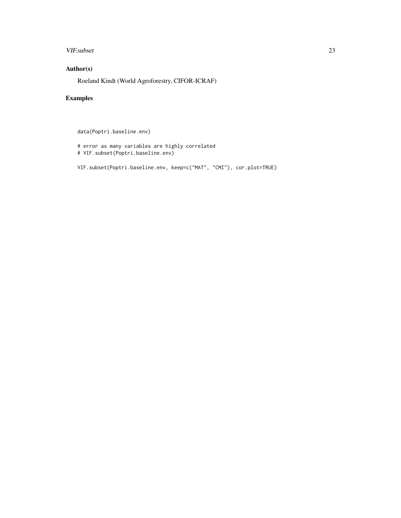# VIF.subset 23

# Author(s)

Roeland Kindt (World Agroforestry, CIFOR-ICRAF)

# Examples

data(Poptri.baseline.env)

# error as many variables are highly correlated # VIF.subset(Poptri.baseline.env)

VIF.subset(Poptri.baseline.env, keep=c("MAT", "CMI"), cor.plot=TRUE)